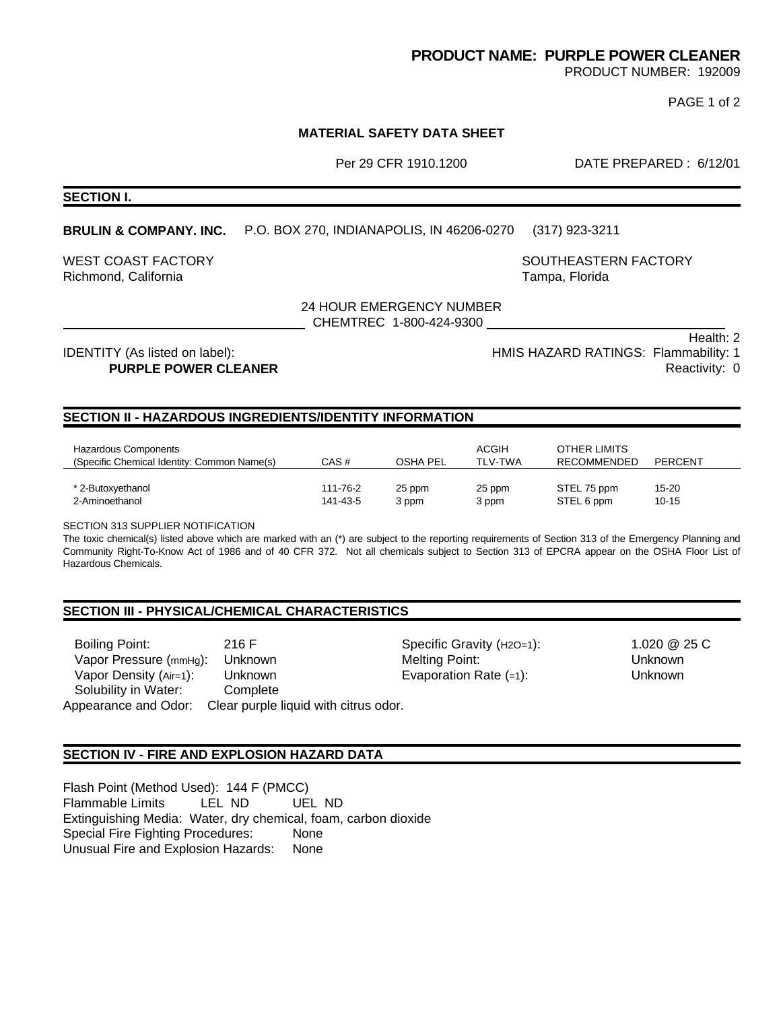## **PRODUCT NAME: PURPLE POWER CLEANER**

PRODUCT NUMBER: 192009

PAGE 1 of 2

## **MATERIAL SAFETY DATA SHEET**

Per 29 CFR 1910.1200 DATE PREPARED : 6/12/01

**SECTION I.**

## **BRULIN & COMPANY. INC.** P.O. BOX 270, INDIANAPOLIS, IN 46206-0270 (317) 923-3211

WEST COAST FACTORY **SOUTHEASTERN FACTORY** SOUTHEASTERN FACTORY Richmond, California Tampa, Florida

24 HOUR EMERGENCY NUMBER

CHEMTREC 1-800-424-9300

 Health: 2 IDENTITY (As listed on label): IDENTITY (As listed on label): Internal matching and the HMIS HAZARD RATINGS: Flammability: 1 **PURPLE POWER CLEANER Reactivity: 0** 

## **SECTION II - HAZARDOUS INGREDIENTS/IDENTITY INFORMATION**

| Hazardous Components<br>(Specific Chemical Identity: Common Name(s) | CAS#     | OSHA PEL | ACGIH<br><b>TLV-TWA</b> | OTHER LIMITS<br>RECOMMENDED | <b>PERCENT</b> |
|---------------------------------------------------------------------|----------|----------|-------------------------|-----------------------------|----------------|
| * 2-Butoxyethanol                                                   | 111-76-2 | 25 ppm   | 25 ppm                  | STEL 75 ppm                 | 15-20          |
| 2-Aminoethanol                                                      | 141-43-5 | 3 ppm    | 3 ppm                   | STEL 6 ppm                  | $10 - 15$      |

SECTION 313 SUPPLIER NOTIFICATION

The toxic chemical(s) listed above which are marked with an (\*) are subject to the reporting requirements of Section 313 of the Emergency Planning and Community Right-To-Know Act of 1986 and of 40 CFR 372. Not all chemicals subject to Section 313 of EPCRA appear on the OSHA Floor List of Hazardous Chemicals.

#### **SECTION III - PHYSICAL/CHEMICAL CHARACTERISTICS**

Boiling Point: Vapor Pressure (mmHg): Unknown Vapor Density (Air=1): Solubility in Water: 216 F Unknown **Complete** Appearance and Odor: Clear purple liquid with citrus odor.

Specific Gravity (H2O=1): Melting Point: Evaporation Rate (=1):

1.020 @ 25 C Unknown Unknown

#### **SECTION IV - FIRE AND EXPLOSION HAZARD DATA**

Flash Point (Method Used): 144 F (PMCC) Flammable Limits LEL ND UEL ND Extinguishing Media: Water, dry chemical, foam, carbon dioxide Special Fire Fighting Procedures: None Unusual Fire and Explosion Hazards: None